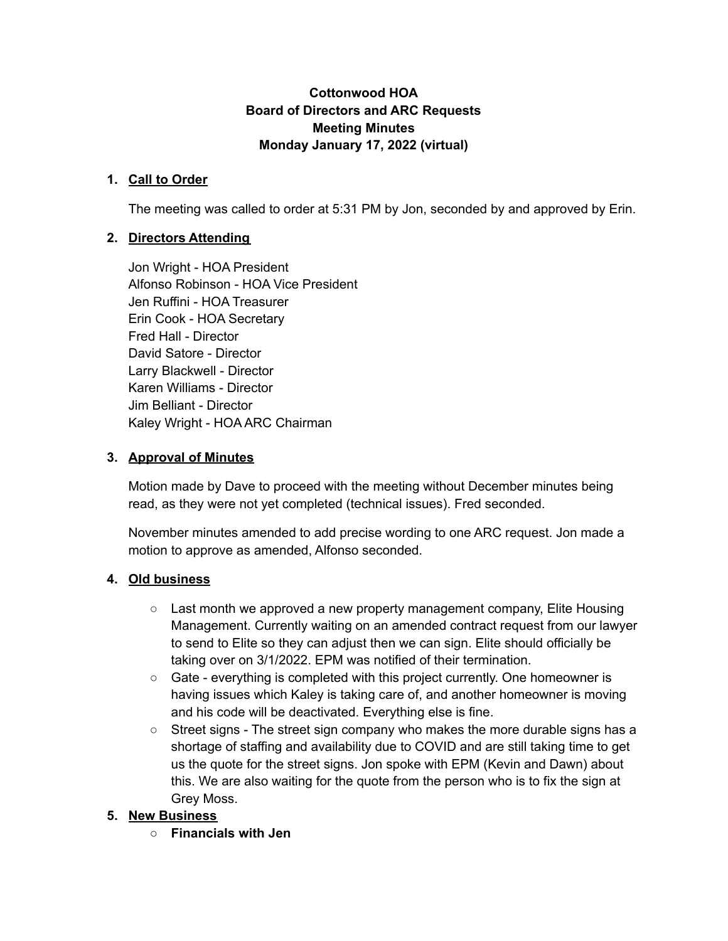#### **Cottonwood HOA Board of Directors and ARC Requests Meeting Minutes Monday January 17, 2022 (virtual)**

#### **1. Call to Order**

The meeting was called to order at 5:31 PM by Jon, seconded by and approved by Erin.

# **2. Directors Attending**

Jon Wright - HOA President Alfonso Robinson - HOA Vice President Jen Ruffini - HOA Treasurer Erin Cook - HOA Secretary Fred Hall - Director David Satore - Director Larry Blackwell - Director Karen Williams - Director Jim Belliant - Director Kaley Wright - HOA ARC Chairman

#### **3. Approval of Minutes**

Motion made by Dave to proceed with the meeting without December minutes being read, as they were not yet completed (technical issues). Fred seconded.

November minutes amended to add precise wording to one ARC request. Jon made a motion to approve as amended, Alfonso seconded.

#### **4. Old business**

- $\circ$  Last month we approved a new property management company, Elite Housing Management. Currently waiting on an amended contract request from our lawyer to send to Elite so they can adjust then we can sign. Elite should officially be taking over on 3/1/2022. EPM was notified of their termination.
- Gate everything is completed with this project currently. One homeowner is having issues which Kaley is taking care of, and another homeowner is moving and his code will be deactivated. Everything else is fine.
- Street signs The street sign company who makes the more durable signs has a shortage of staffing and availability due to COVID and are still taking time to get us the quote for the street signs. Jon spoke with EPM (Kevin and Dawn) about this. We are also waiting for the quote from the person who is to fix the sign at Grey Moss.

#### **5. New Business**

**○ Financials with Jen**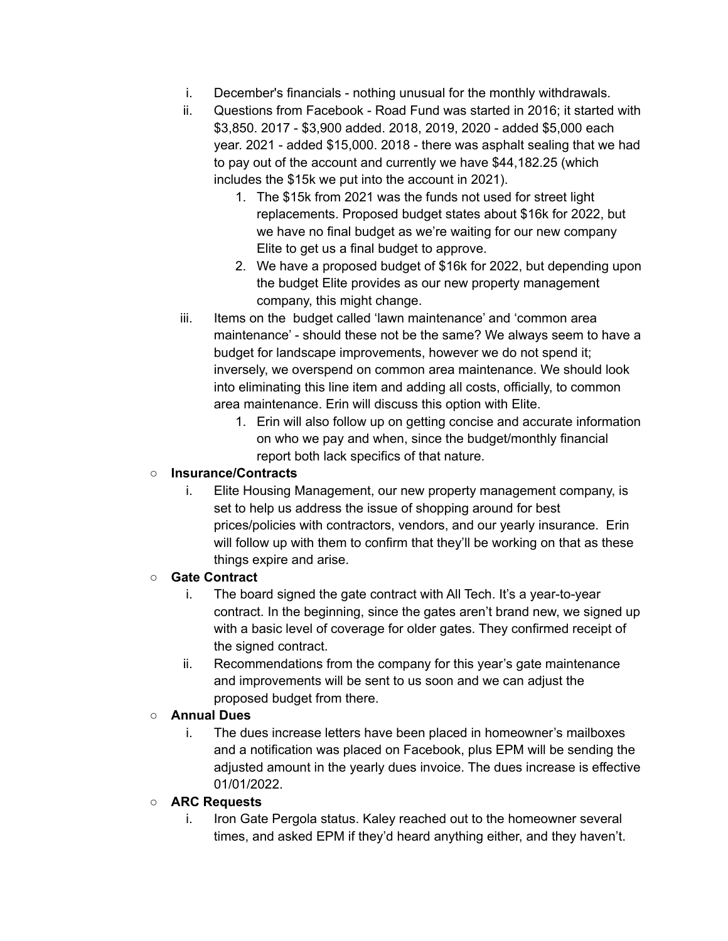- i. December's financials nothing unusual for the monthly withdrawals.
- ii. Questions from Facebook Road Fund was started in 2016; it started with \$3,850. 2017 - \$3,900 added. 2018, 2019, 2020 - added \$5,000 each year. 2021 - added \$15,000. 2018 - there was asphalt sealing that we had to pay out of the account and currently we have \$44,182.25 (which includes the \$15k we put into the account in 2021).
	- 1. The \$15k from 2021 was the funds not used for street light replacements. Proposed budget states about \$16k for 2022, but we have no final budget as we're waiting for our new company Elite to get us a final budget to approve.
	- 2. We have a proposed budget of \$16k for 2022, but depending upon the budget Elite provides as our new property management company, this might change.
- iii. Items on the budget called 'lawn maintenance' and 'common area maintenance' - should these not be the same? We always seem to have a budget for landscape improvements, however we do not spend it; inversely, we overspend on common area maintenance. We should look into eliminating this line item and adding all costs, officially, to common area maintenance. Erin will discuss this option with Elite.
	- 1. Erin will also follow up on getting concise and accurate information on who we pay and when, since the budget/monthly financial report both lack specifics of that nature.

## **○ Insurance/Contracts**

i. Elite Housing Management, our new property management company, is set to help us address the issue of shopping around for best prices/policies with contractors, vendors, and our yearly insurance. Erin will follow up with them to confirm that they'll be working on that as these things expire and arise.

#### **○ Gate Contract**

- i. The board signed the gate contract with All Tech. It's a year-to-year contract. In the beginning, since the gates aren't brand new, we signed up with a basic level of coverage for older gates. They confirmed receipt of the signed contract.
- ii. Recommendations from the company for this year's gate maintenance and improvements will be sent to us soon and we can adjust the proposed budget from there.

#### **○ Annual Dues**

i. The dues increase letters have been placed in homeowner's mailboxes and a notification was placed on Facebook, plus EPM will be sending the adjusted amount in the yearly dues invoice. The dues increase is effective 01/01/2022.

#### **○ ARC Requests**

i. Iron Gate Pergola status. Kaley reached out to the homeowner several times, and asked EPM if they'd heard anything either, and they haven't.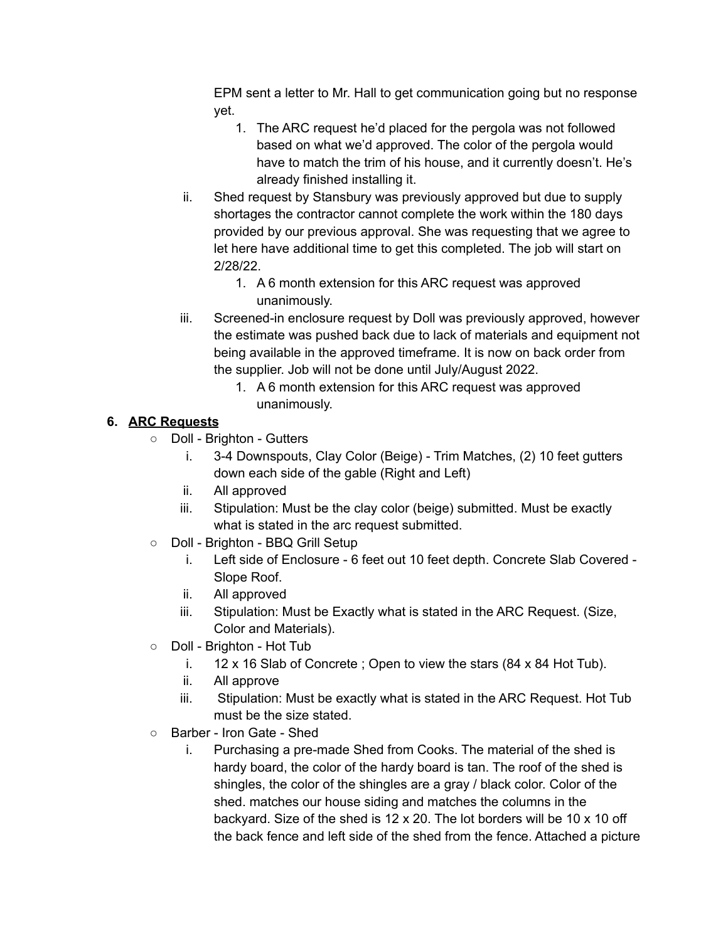EPM sent a letter to Mr. Hall to get communication going but no response yet.

- 1. The ARC request he'd placed for the pergola was not followed based on what we'd approved. The color of the pergola would have to match the trim of his house, and it currently doesn't. He's already finished installing it.
- ii. Shed request by Stansbury was previously approved but due to supply shortages the contractor cannot complete the work within the 180 days provided by our previous approval. She was requesting that we agree to let here have additional time to get this completed. The job will start on 2/28/22.
	- 1. A 6 month extension for this ARC request was approved unanimously.
- iii. Screened-in enclosure request by Doll was previously approved, however the estimate was pushed back due to lack of materials and equipment not being available in the approved timeframe. It is now on back order from the supplier. Job will not be done until July/August 2022.
	- 1. A 6 month extension for this ARC request was approved unanimously.

# **6. ARC Requests**

- Doll Brighton Gutters
	- i. 3-4 Downspouts, Clay Color (Beige) Trim Matches, (2) 10 feet gutters down each side of the gable (Right and Left)
	- ii. All approved
	- iii. Stipulation: Must be the clay color (beige) submitted. Must be exactly what is stated in the arc request submitted.
- Doll Brighton BBQ Grill Setup
	- i. Left side of Enclosure 6 feet out 10 feet depth. Concrete Slab Covered Slope Roof.
	- ii. All approved
	- iii. Stipulation: Must be Exactly what is stated in the ARC Request. (Size, Color and Materials).
- Doll Brighton Hot Tub
	- i. 12 x 16 Slab of Concrete ; Open to view the stars (84 x 84 Hot Tub).
	- ii. All approve
	- iii. Stipulation: Must be exactly what is stated in the ARC Request. Hot Tub must be the size stated.
- Barber Iron Gate Shed
	- i. Purchasing a pre-made Shed from Cooks. The material of the shed is hardy board, the color of the hardy board is tan. The roof of the shed is shingles, the color of the shingles are a gray / black color. Color of the shed. matches our house siding and matches the columns in the backyard. Size of the shed is 12 x 20. The lot borders will be 10 x 10 off the back fence and left side of the shed from the fence. Attached a picture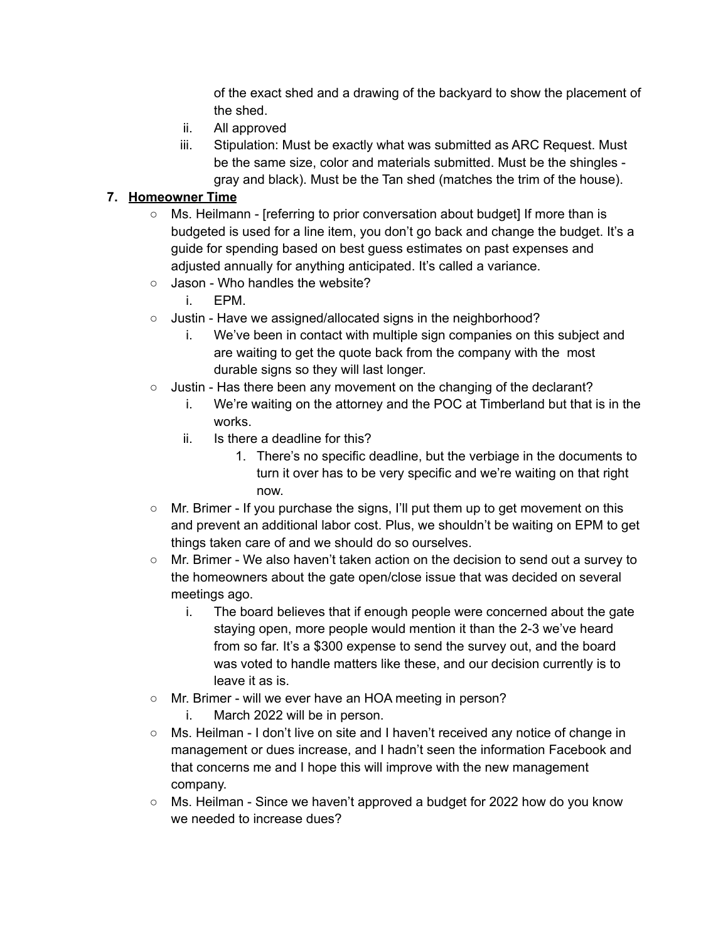of the exact shed and a drawing of the backyard to show the placement of the shed.

- ii. All approved
- iii. Stipulation: Must be exactly what was submitted as ARC Request. Must be the same size, color and materials submitted. Must be the shingles gray and black). Must be the Tan shed (matches the trim of the house).

## **7. Homeowner Time**

- Ms. Heilmann [referring to prior conversation about budget] If more than is budgeted is used for a line item, you don't go back and change the budget. It's a guide for spending based on best guess estimates on past expenses and adjusted annually for anything anticipated. It's called a variance.
- Jason Who handles the website?
	- i. EPM.
- Justin Have we assigned/allocated signs in the neighborhood?
	- i. We've been in contact with multiple sign companies on this subject and are waiting to get the quote back from the company with the most durable signs so they will last longer.
- Justin Has there been any movement on the changing of the declarant?
	- i. We're waiting on the attorney and the POC at Timberland but that is in the works.
	- ii. Is there a deadline for this?
		- 1. There's no specific deadline, but the verbiage in the documents to turn it over has to be very specific and we're waiting on that right now.
- Mr. Brimer If you purchase the signs, I'll put them up to get movement on this and prevent an additional labor cost. Plus, we shouldn't be waiting on EPM to get things taken care of and we should do so ourselves.
- Mr. Brimer We also haven't taken action on the decision to send out a survey to the homeowners about the gate open/close issue that was decided on several meetings ago.
	- i. The board believes that if enough people were concerned about the gate staying open, more people would mention it than the 2-3 we've heard from so far. It's a \$300 expense to send the survey out, and the board was voted to handle matters like these, and our decision currently is to leave it as is.
- Mr. Brimer will we ever have an HOA meeting in person?
	- i. March 2022 will be in person.
- Ms. Heilman I don't live on site and I haven't received any notice of change in management or dues increase, and I hadn't seen the information Facebook and that concerns me and I hope this will improve with the new management company.
- Ms. Heilman Since we haven't approved a budget for 2022 how do you know we needed to increase dues?